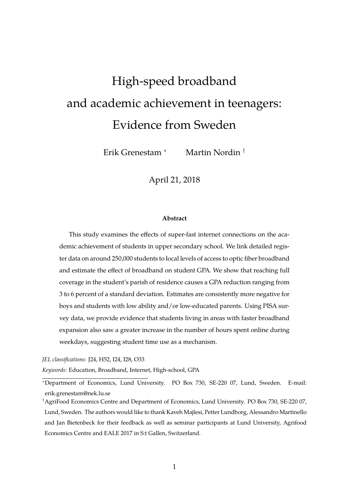# <span id="page-0-0"></span>High-speed broadband and academic achievement in teenagers: Evidence from Sweden

Erik Grenestam <sup>∗</sup> Martin Nordin †

April 21, 2018

#### **Abstract**

This study examines the effects of super-fast internet connections on the academic achievement of students in upper secondary school. We link detailed register data on around 250,000 students to local levels of access to optic fiber broadband and estimate the effect of broadband on student GPA. We show that reaching full coverage in the student's parish of residence causes a GPA reduction ranging from 3 to 6 percent of a standard deviation. Estimates are consistently more negative for boys and students with low ability and/or low-educated parents. Using PISA survey data, we provide evidence that students living in areas with faster broadband expansion also saw a greater increase in the number of hours spent online during weekdays, suggesting student time use as a mechanism.

*JEL classifications:* J24, H52, I24, I28, O33

*Keywords:* Education, Broadband, Internet, High-school, GPA

<sup>∗</sup>Department of Economics, Lund University. PO Box 730, SE-220 07, Lund, Sweden. E-mail: erik.grenestam@nek.lu.se

†AgriFood Economics Centre and Department of Economics, Lund University. PO Box 730, SE-220 07, Lund, Sweden. The authors would like to thank Kaveh Majlesi, Petter Lundborg, Alessandro Martinello and Jan Bietenbeck for their feedback as well as seminar participants at Lund University, Agrifood Economics Centre and EALE 2017 in S:t Gallen, Switzerland.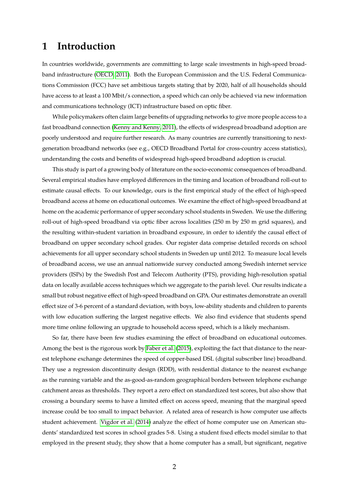## **1 Introduction**

In countries worldwide, governments are committing to large scale investments in high-speed broadband infrastructure [\(OECD, 2011\)](#page-13-0). Both the European Commission and the U.S. Federal Communications Commission (FCC) have set ambitious targets stating that by 2020, half of all households should have access to at least a 100 Mbit/s connection, a speed which can only be achieved via new information and communications technology (ICT) infrastructure based on optic fiber.

While policymakers often claim large benefits of upgrading networks to give more people access to a fast broadband connection [\(Kenny and Kenny, 2011\)](#page-13-1), the effects of widespread broadband adoption are poorly understood and require further research. As many countries are currently transitioning to nextgeneration broadband networks (see e.g., OECD Broadband Portal for cross-country access statistics), understanding the costs and benefits of widespread high-speed broadband adoption is crucial.

This study is part of a growing body of literature on the socio-economic consequences of broadband. Several empirical studies have employed differences in the timing and location of broadband roll-out to estimate causal effects. To our knowledge, ours is the first empirical study of the effect of high-speed broadband access at home on educational outcomes. We examine the effect of high-speed broadband at home on the academic performance of upper secondary school students in Sweden. We use the differing roll-out of high-speed broadband via optic fiber across localities (250 m by 250 m grid squares), and the resulting within-student variation in broadband exposure, in order to identify the causal effect of broadband on upper secondary school grades. Our register data comprise detailed records on school achievements for all upper secondary school students in Sweden up until 2012. To measure local levels of broadband access, we use an annual nationwide survey conducted among Swedish internet service providers (ISPs) by the Swedish Post and Telecom Authority (PTS), providing high-resolution spatial data on locally available access techniques which we aggregate to the parish level. Our results indicate a small but robust negative effect of high-speed broadband on GPA. Our estimates demonstrate an overall effect size of 3-6 percent of a standard deviation, with boys, low-ability students and children to parents with low education suffering the largest negative effects. We also find evidence that students spend more time online following an upgrade to household access speed, which is a likely mechanism.

So far, there have been few studies examining the effect of broadband on educational outcomes. Among the best is the rigorous work by [Faber et al.](#page-13-2) [\(2015\)](#page-13-2), exploiting the fact that distance to the nearest telephone exchange determines the speed of copper-based DSL (digital subscriber line) broadband. They use a regression discontinuity design (RDD), with residential distance to the nearest exchange as the running variable and the as-good-as-random geographical borders between telephone exchange catchment areas as thresholds. They report a zero effect on standardized test scores, but also show that crossing a boundary seems to have a limited effect on access speed, meaning that the marginal speed increase could be too small to impact behavior. A related area of research is how computer use affects student achievement. [Vigdor et al.](#page-14-0) [\(2014\)](#page-14-0) analyze the effect of home computer use on American students' standardized test scores in school grades 5-8. Using a student fixed effects model similar to that employed in the present study, they show that a home computer has a small, but significant, negative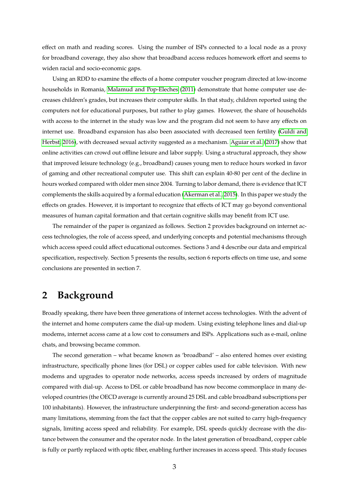effect on math and reading scores. Using the number of ISPs connected to a local node as a proxy for broadband coverage, they also show that broadband access reduces homework effort and seems to widen racial and socio-economic gaps.

Using an RDD to examine the effects of a home computer voucher program directed at low-income households in Romania, [Malamud and Pop-Eleches](#page-13-3) [\(2011\)](#page-13-3) demonstrate that home computer use decreases children's grades, but increases their computer skills. In that study, children reported using the computers not for educational purposes, but rather to play games. However, the share of households with access to the internet in the study was low and the program did not seem to have any effects on internet use. Broadband expansion has also been associated with decreased teen fertility [\(Guldi and](#page-13-4) [Herbst, 2016\)](#page-13-4), with decreased sexual activity suggested as a mechanism. [Aguiar et al.](#page-13-5) [\(2017\)](#page-13-5) show that online activities can crowd out offline leisure and labor supply. Using a structural approach, they show that improved leisure technology (e.g., broadband) causes young men to reduce hours worked in favor of gaming and other recreational computer use. This shift can explain 40-80 per cent of the decline in hours worked compared with older men since 2004. Turning to labor demand, there is evidence that ICT complements the skills acquired by a formal education [\(Akerman et al., 2015\)](#page-13-6). In this paper we study the effects on grades. However, it is important to recognize that effects of ICT may go beyond conventional measures of human capital formation and that certain cognitive skills may benefit from ICT use.

The remainder of the paper is organized as follows. Section 2 provides background on internet access technologies, the role of access speed, and underlying concepts and potential mechanisms through which access speed could affect educational outcomes. Sections 3 and 4 describe our data and empirical specification, respectively. Section 5 presents the results, section 6 reports effects on time use, and some conclusions are presented in section 7.

## <span id="page-2-0"></span>**2 Background**

Broadly speaking, there have been three generations of internet access technologies. With the advent of the internet and home computers came the dial-up modem. Using existing telephone lines and dial-up modems, internet access came at a low cost to consumers and ISPs. Applications such as e-mail, online chats, and browsing became common.

The second generation – what became known as 'broadband' – also entered homes over existing infrastructure, specifically phone lines (for DSL) or copper cables used for cable television. With new modems and upgrades to operator node networks, access speeds increased by orders of magnitude compared with dial-up. Access to DSL or cable broadband has now become commonplace in many developed countries (the OECD average is currently around 25 DSL and cable broadband subscriptions per 100 inhabitants). However, the infrastructure underpinning the first- and second-generation access has many limitations, stemming from the fact that the copper cables are not suited to carry high-frequency signals, limiting access speed and reliability. For example, DSL speeds quickly decrease with the distance between the consumer and the operator node. In the latest generation of broadband, copper cable is fully or partly replaced with optic fiber, enabling further increases in access speed. This study focuses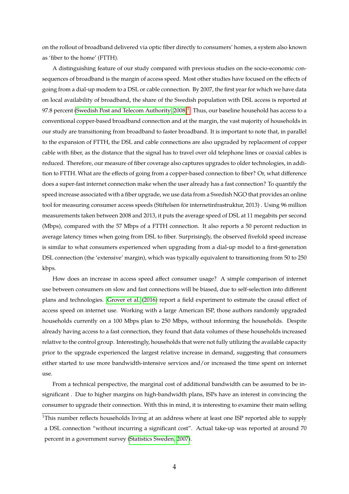on the rollout of broadband delivered via optic fiber directly to consumers' homes, a system also known as 'fiber to the home' (FTTH).

A distinguishing feature of our study compared with previous studies on the socio-economic consequences of broadband is the margin of access speed. Most other studies have focused on the effects of going from a dial-up modem to a DSL or cable connection. By 2007, the first year for which we have data on local availability of broadband, the share of the Swedish population with DSL access is reported at 97.8 percent [\(Swedish Post and Telecom Authority, 2008\)](#page-14-1) $^1$  $^1$ . Thus, our baseline household has access to a conventional copper-based broadband connection and at the margin, the vast majority of households in our study are transitioning from broadband to faster broadband. It is important to note that, in parallel to the expansion of FTTH, the DSL and cable connections are also upgraded by replacement of copper cable with fiber, as the distance that the signal has to travel over old telephone lines or coaxial cables is reduced. Therefore, our measure of fiber coverage also captures upgrades to older technologies, in addition to FTTH. What are the effects of going from a copper-based connection to fiber? Or, what difference does a super-fast internet connection make when the user already has a fast connection? To quantify the speed increase associated with a fiber upgrade, we use data from a Swedish NGO that provides an online tool for measuring consumer access speeds (Stiftelsen för internetinfrastruktur, 2013) . Using 96 million measurements taken between 2008 and 2013, it puts the average speed of DSL at 11 megabits per second (Mbps), compared with the 57 Mbps of a FTTH connection. It also reports a 50 percent reduction in average latency times when going from DSL to fiber. Surprisingly, the observed fivefold speed increase is similar to what consumers experienced when upgrading from a dial-up model to a first-generation DSL connection (the 'extensive' margin), which was typically equivalent to transitioning from 50 to 250 kbps.

How does an increase in access speed affect consumer usage? A simple comparison of internet use between consumers on slow and fast connections will be biased, due to self-selection into different plans and technologies. [Grover et al.](#page-13-7) [\(2016\)](#page-13-7) report a field experiment to estimate the causal effect of access speed on internet use. Working with a large American ISP, those authors randomly upgraded households currently on a 100 Mbps plan to 250 Mbps, without informing the households. Despite already having access to a fast connection, they found that data volumes of these households increased relative to the control group. Interestingly, households that were not fully utilizing the available capacity prior to the upgrade experienced the largest relative increase in demand, suggesting that consumers either started to use more bandwidth-intensive services and/or increased the time spent on internet use.

From a technical perspective, the marginal cost of additional bandwidth can be assumed to be insignificant . Due to higher margins on high-bandwidth plans, ISPs have an interest in convincing the consumer to upgrade their connection. With this in mind, it is interesting to examine their main selling

<sup>&</sup>lt;sup>1</sup>This number reflects households living at an address where at least one ISP reported able to supply a DSL connection "without incurring a significant cost". Actual take-up was reported at around 70 percent in a government survey [\(Statistics Sweden, 2007\)](#page-13-8).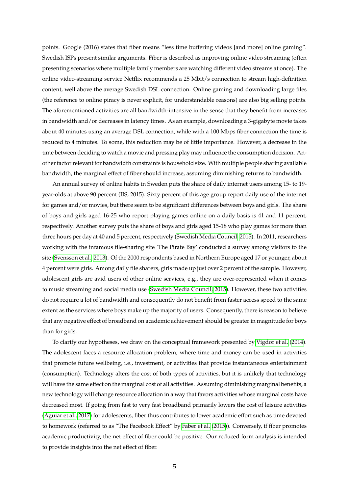points. Google (2016) states that fiber means "less time buffering videos [and more] online gaming". Swedish ISPs present similar arguments. Fiber is described as improving online video streaming (often presenting scenarios where multiple family members are watching different video streams at once). The online video-streaming service Netflix recommends a 25 Mbit/s connection to stream high-definition content, well above the average Swedish DSL connection. Online gaming and downloading large files (the reference to online piracy is never explicit, for understandable reasons) are also big selling points. The aforementioned activities are all bandwidth-intensive in the sense that they benefit from increases in bandwidth and/or decreases in latency times. As an example, downloading a 3-gigabyte movie takes about 40 minutes using an average DSL connection, while with a 100 Mbps fiber connection the time is reduced to 4 minutes. To some, this reduction may be of little importance. However, a decrease in the time between deciding to watch a movie and pressing play may influence the consumption decision. Another factor relevant for bandwidth constraints is household size. With multiple people sharing available bandwidth, the marginal effect of fiber should increase, assuming diminishing returns to bandwidth.

An annual survey of online habits in Sweden puts the share of daily internet users among 15- to 19 year-olds at above 90 percent (IIS, 2015). Sixty percent of this age group report daily use of the internet for games and/or movies, but there seem to be significant differences between boys and girls. The share of boys and girls aged 16-25 who report playing games online on a daily basis is 41 and 11 percent, respectively. Another survey puts the share of boys and girls aged 15-18 who play games for more than three hours per day at 40 and 5 percent, respectively [\(Swedish Media Council, 2015\)](#page-13-9). In 2011, researchers working with the infamous file-sharing site 'The Pirate Bay' conducted a survey among visitors to the site [\(Svensson et al., 2013\)](#page-13-10). Of the 2000 respondents based in Northern Europe aged 17 or younger, about 4 percent were girls. Among daily file sharers, girls made up just over 2 percent of the sample. However, adolescent girls are avid users of other online services, e.g., they are over-represented when it comes to music streaming and social media use [\(Swedish Media Council, 2015\)](#page-13-9). However, these two activities do not require a lot of bandwidth and consequently do not benefit from faster access speed to the same extent as the services where boys make up the majority of users. Consequently, there is reason to believe that any negative effect of broadband on academic achievement should be greater in magnitude for boys than for girls.

To clarify our hypotheses, we draw on the conceptual framework presented by [Vigdor et al.](#page-14-0) [\(2014\)](#page-14-0). The adolescent faces a resource allocation problem, where time and money can be used in activities that promote future wellbeing, i.e., investment, or activities that provide instantaneous entertainment (consumption). Technology alters the cost of both types of activities, but it is unlikely that technology will have the same effect on the marginal cost of all activities. Assuming diminishing marginal benefits, a new technology will change resource allocation in a way that favors activities whose marginal costs have decreased most. If going from fast to very fast broadband primarily lowers the cost of leisure activities [\(Aguiar et al., 2017\)](#page-13-5) for adolescents, fiber thus contributes to lower academic effort such as time devoted to homework (referred to as "The Facebook Effect" by [Faber et al.](#page-13-2) [\(2015\)](#page-13-2)). Conversely, if fiber promotes academic productivity, the net effect of fiber could be positive. Our reduced form analysis is intended to provide insights into the net effect of fiber.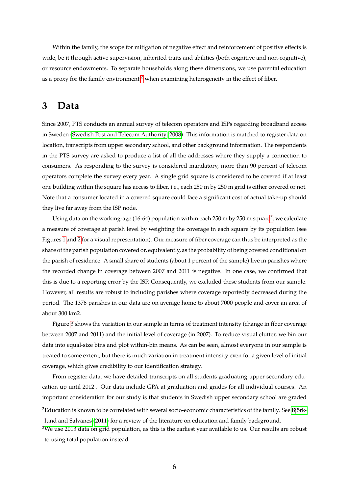Within the family, the scope for mitigation of negative effect and reinforcement of positive effects is wide, be it through active supervision, inherited traits and abilities (both cognitive and non-cognitive), or resource endowments. To separate households along these dimensions, we use parental education as a proxy for the family environment<sup>[2](#page-0-0)</sup> when examining heterogeneity in the effect of fiber.

## **3 Data**

Since 2007, PTS conducts an annual survey of telecom operators and ISPs regarding broadband access in Sweden [\(Swedish Post and Telecom Authority, 2008\)](#page-14-1). This information is matched to register data on location, transcripts from upper secondary school, and other background information. The respondents in the PTS survey are asked to produce a list of all the addresses where they supply a connection to consumers. As responding to the survey is considered mandatory, more than 90 percent of telecom operators complete the survey every year. A single grid square is considered to be covered if at least one building within the square has access to fiber, i.e., each 250 m by 250 m grid is either covered or not. Note that a consumer located in a covered square could face a significant cost of actual take-up should they live far away from the ISP node.

Using data on the working-age (16-64) population within each 250 m by 250 m square<sup>[3](#page-0-0)</sup>, we calculate a measure of coverage at parish level by weighting the coverage in each square by its population (see Figures [1](#page-20-0) and [2](#page-21-0) for a visual representation). Our measure of fiber coverage can thus be interpreted as the share of the parish population covered or, equivalently, as the probability of being covered conditional on the parish of residence. A small share of students (about 1 percent of the sample) live in parishes where the recorded change in coverage between 2007 and 2011 is negative. In one case, we confirmed that this is due to a reporting error by the ISP. Consequently, we excluded these students from our sample. However, all results are robust to including parishes where coverage reportedly decreased during the period. The 1376 parishes in our data are on average home to about 7000 people and cover an area of about 300 km2.

Figure [3](#page-21-1) shows the variation in our sample in terms of treatment intensity (change in fiber coverage between 2007 and 2011) and the initial level of coverage (in 2007). To reduce visual clutter, we bin our data into equal-size bins and plot within-bin means. As can be seen, almost everyone in our sample is treated to some extent, but there is much variation in treatment intensity even for a given level of initial coverage, which gives credibility to our identification strategy.

From register data, we have detailed transcripts on all students graduating upper secondary education up until 2012 . Our data include GPA at graduation and grades for all individual courses. An important consideration for our study is that students in Swedish upper secondary school are graded

<sup>&</sup>lt;sup>2</sup>Education is known to be correlated with several socio-economic characteristics of the family. See [Björk](#page-13-11)[lund and Salvanes](#page-13-11) [\(2011\)](#page-13-11) for a review of the literature on education and family background.

<sup>&</sup>lt;sup>3</sup>We use 2013 data on grid population, as this is the earliest year available to us. Our results are robust to using total population instead.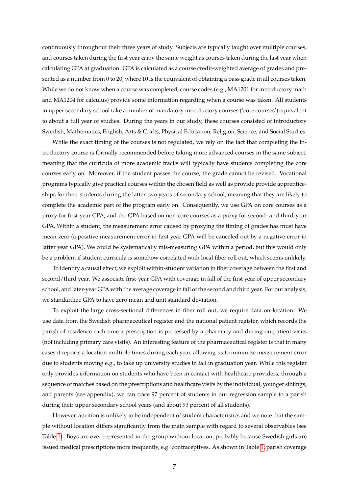continuously throughout their three years of study. Subjects are typically taught over multiple courses, and courses taken during the first year carry the same weight as courses taken during the last year when calculating GPA at graduation. GPA is calculated as a course credit-weighted average of grades and presented as a number from 0 to 20, where 10 is the equivalent of obtaining a pass grade in all courses taken. While we do not know when a course was completed, course codes (e.g., MA1201 for introductory math and MA1204 for calculus) provide some information regarding when a course was taken. All students in upper secondary school take a number of mandatory introductory courses ('core courses') equivalent to about a full year of studies. During the years in our study, these courses consisted of introductory Swedish, Mathematics, English, Arts & Crafts, Physical Education, Religion, Science, and Social Studies.

While the exact timing of the courses is not regulated, we rely on the fact that completing the introductory course is formally recommended before taking more advanced courses in the same subject, meaning that the curricula of more academic tracks will typically have students completing the core courses early on. Moreover, if the student passes the course, the grade cannot be revised. Vocational programs typically give practical courses within the chosen field as well as provide provide apprenticeships for their students during the latter two years of secondary school, meaning that they are likely to complete the academic part of the program early on. Consequently, we use GPA on core courses as a proxy for first-year GPA, and the GPA based on non-core courses as a proxy for second- and third-year GPA. Within a student, the measurement error caused by proxying the timing of grades has must have mean zero (a positive measurement error in first year GPA will be canceled out by a negative error in latter year GPA). We could be systematically mis-measuring GPA within a period, but this would only be a problem if student curricula is somehow correlated with local fiber roll out, which seems unlikely.

To identify a causal effect, we exploit within-student variation in fiber coverage between the first and second/third year. We associate first-year GPA with coverage in fall of the first year of upper secondary school, and later-year GPA with the average coverage in fall of the second and third year. For our analysis, we standardize GPA to have zero mean and unit standard deviation.

To exploit the large cross-sectional differences in fiber roll out, we require data on location. We use data from the Swedish pharmaceutical register and the national patient register, which records the parish of residence each time a prescription is processed by a pharmacy and during outpatient visits (not including primary care visits). An interesting feature of the pharmaceutical register is that in many cases it reports a location multiple times during each year, allowing us to minimize measurement error due to students moving e.g., to take up university studies in fall in graduation year. While this register only provides information on students who have been in contact with healthcare providers, through a sequence of matches based on the prescriptions and healthcare visits by the individual, younger siblings, and parents (see appendix), we can trace 97 percent of students in our regression sample to a parish during their upper secondary school years (and about 93 percent of all students).

However, attrition is unlikely to be independent of student characteristics and we note that the sample without location differs significantly from the main sample with regard to several observables (see Table [1\)](#page-15-0). Boys are over-represented in the group without location, probably because Swedish girls are issued medical prescriptions more frequently, e.g. contraceptives. As shown in Table [1,](#page-15-0) parish coverage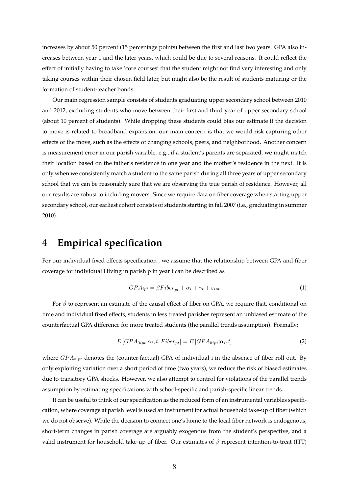increases by about 50 percent (15 percentage points) between the first and last two years. GPA also increases between year 1 and the later years, which could be due to several reasons. It could reflect the effect of initially having to take 'core courses' that the student might not find very interesting and only taking courses within their chosen field later, but might also be the result of students maturing or the formation of student-teacher bonds.

Our main regression sample consists of students graduating upper secondary school between 2010 and 2012, excluding students who move between their first and third year of upper secondary school (about 10 percent of students). While dropping these students could bias our estimate if the decision to move is related to broadband expansion, our main concern is that we would risk capturing other effects of the move, such as the effects of changing schools, peers, and neighborhood. Another concern is measurement error in our parish variable, e.g., if a student's parents are separated, we might match their location based on the father's residence in one year and the mother's residence in the next. It is only when we consistently match a student to the same parish during all three years of upper secondary school that we can be reasonably sure that we are observing the true parish of residence. However, all our results are robust to including movers. Since we require data on fiber coverage when starting upper secondary school, our earliest cohort consists of students starting in fall 2007 (i.e., graduating in summer 2010).

## **4 Empirical specification**

For our individual fixed effects specification , we assume that the relationship between GPA and fiber coverage for individual i living in parish p in year t can be described as

$$
GPA_{ipt} = \beta Fiber_{pt} + \alpha_i + \gamma_t + \varepsilon_{ipt}
$$
\n<sup>(1)</sup>

For  $\hat{\beta}$  to represent an estimate of the causal effect of fiber on GPA, we require that, conditional on time and individual fixed effects, students in less treated parishes represent an unbiased estimate of the counterfactual GPA difference for more treated students (the parallel trends assumption). Formally:

$$
E\left[ GPA_{0ipt}|\alpha_i, t, Fiber_{pt}\right] = E\left[ GPA_{0ipt}|\alpha_i, t\right] \tag{2}
$$

where  $GPA_{0ipt}$  denotes the (counter-factual) GPA of individual i in the absence of fiber roll out. By only exploiting variation over a short period of time (two years), we reduce the risk of biased estimates due to transitory GPA shocks. However, we also attempt to control for violations of the parallel trends assumption by estimating specifications with school-specific and parish-specific linear trends.

It can be useful to think of our specification as the reduced form of an instrumental variables specification, where coverage at parish level is used an instrument for actual household take-up of fiber (which we do not observe). While the decision to connect one's home to the local fiber network is endogenous, short-term changes in parish coverage are arguably exogenous from the student's perspective, and a valid instrument for household take-up of fiber. Our estimates of  $\beta$  represent intention-to-treat (ITT)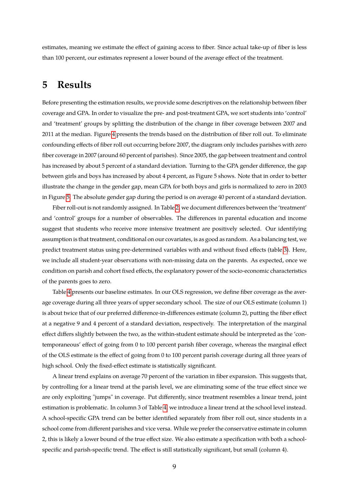estimates, meaning we estimate the effect of gaining access to fiber. Since actual take-up of fiber is less than 100 percent, our estimates represent a lower bound of the average effect of the treatment.

## **5 Results**

Before presenting the estimation results, we provide some descriptives on the relationship between fiber coverage and GPA. In order to visualize the pre- and post-treatment GPA, we sort students into 'control' and 'treatment' groups by splitting the distribution of the change in fiber coverage between 2007 and 2011 at the median. Figure [4](#page-22-0) presents the trends based on the distribution of fiber roll out. To eliminate confounding effects of fiber roll out occurring before 2007, the diagram only includes parishes with zero fiber coverage in 2007 (around 60 percent of parishes). Since 2005, the gap between treatment and control has increased by about 5 percent of a standard deviation. Turning to the GPA gender difference, the gap between girls and boys has increased by about 4 percent, as Figure 5 shows. Note that in order to better illustrate the change in the gender gap, mean GPA for both boys and girls is normalized to zero in 2003 in Figure [5.](#page-22-1) The absolute gender gap during the period is on average 40 percent of a standard deviation.

Fiber roll-out is not randomly assigned. In Table [2,](#page-16-0) we document differences between the 'treatment' and 'control' groups for a number of observables. The differences in parental education and income suggest that students who receive more intensive treatment are positively selected. Our identifying assumption is that treatment, conditional on our covariates, is as good as random. As a balancing test, we predict treatment status using pre-determined variables with and without fixed effects (table [3\)](#page-16-1). Here, we include all student-year observations with non-missing data on the parents. As expected, once we condition on parish and cohort fixed effects, the explanatory power of the socio-economic characteristics of the parents goes to zero.

Table [4](#page-17-0) presents our baseline estimates. In our OLS regression, we define fiber coverage as the average coverage during all three years of upper secondary school. The size of our OLS estimate (column 1) is about twice that of our preferred difference-in-differences estimate (column 2), putting the fiber effect at a negative 9 and 4 percent of a standard deviation, respectively. The interpretation of the marginal effect differs slightly between the two, as the within-student estimate should be interpreted as the 'contemporaneous' effect of going from 0 to 100 percent parish fiber coverage, whereas the marginal effect of the OLS estimate is the effect of going from 0 to 100 percent parish coverage during all three years of high school. Only the fixed-effect estimate is statistically significant.

A linear trend explains on average 70 percent of the variation in fiber expansion. This suggests that, by controlling for a linear trend at the parish level, we are eliminating some of the true effect since we are only exploiting "jumps" in coverage. Put differently, since treatment resembles a linear trend, joint estimation is problematic. In column 3 of Table [4,](#page-17-0) we introduce a linear trend at the school level instead. A school-specific GPA trend can be better identified separately from fiber roll out, since students in a school come from different parishes and vice versa. While we prefer the conservative estimate in column 2, this is likely a lower bound of the true effect size. We also estimate a specification with both a schoolspecific and parish-specific trend. The effect is still statistically significant, but small (column 4).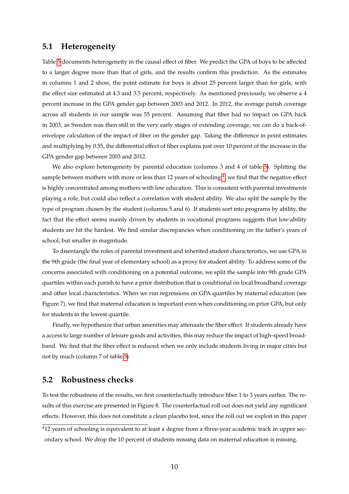#### **5.1 Heterogeneity**

Table [5](#page-18-0) documents heterogeneity in the causal effect of fiber. We predict the GPA of boys to be affected to a larger degree more than that of girls, and the results confirm this prediction. As the estimates in columns 1 and 2 show, the point estimate for boys is about 25 percent larger than for girls, with the effect size estimated at 4.3 and 3.5 percent, respectively. As mentioned previously, we observe a 4 percent increase in the GPA gender gap between 2003 and 2012. In 2012, the average parish coverage across all students in our sample was 55 percent. Assuming that fiber had no impact on GPA back in 2003, as Sweden was then still in the very early stages of extending coverage, we can do a back-ofenvelope calculation of the impact of fiber on the gender gap. Taking the difference in point estimates and multiplying by 0.55, the differential effect of fiber explains just over 10 percent of the increase in the GPA gender gap between 2003 and 2012.

We also explore heterogeneity by parental education (columns 3 and 4 of table [5\)](#page-18-0). Splitting the sample between mothers with more or less than 12 years of schooling  $^4$  $^4$ , we find that the negative effect is highly concentrated among mothers with low education. This is consistent with parental investments playing a role, but could also reflect a correlation with student ability. We also split the sample by the type of program chosen by the student (columns 5 and 6). If students sort into programs by ability, the fact that the effect seems mainly driven by students in vocational programs suggests that low-ability students are hit the hardest. We find similar discrepancies when conditioning on the father's years of school, but smaller in magnitude.

To disentangle the roles of parental investment and inherited student characteristics, we use GPA in the 9th grade (the final year of elementary school) as a proxy for student ability. To address some of the concerns associated with conditioning on a potential outcome, we split the sample into 9th grade GPA quartiles within each parish to have a prior distribution that is conditional on local broadband coverage and other local characteristics. When we run regressions on GPA quartiles by maternal education (see Figure 7), we find that maternal education is important even when conditioning on prior GPA, but only for students in the lowest quartile.

Finally, we hypothesize that urban amenities may attenuate the fiber effect. If students already have a access to large number of leisure goods and activities, this may reduce the impact of high-speed broadband. We find that the fiber effect is reduced when we only include students living in major cities but not by much (column 7 of table [5\)](#page-18-0).

#### **5.2 Robustness checks**

To test the robustness of the results, we first counterfactually introduce fiber 1 to 3 years earlier. The results of this exercise are presented in Figure 8. The counterfactual roll out does not yield any significant effects. However, this does not constitute a clean placebo test, since the roll out we exploit in this paper

<sup>&</sup>lt;sup>4</sup>12 years of schooling is equivalent to at least a degree from a three-year academic track in upper secondary school. We drop the 10 percent of students missing data on maternal education is missing.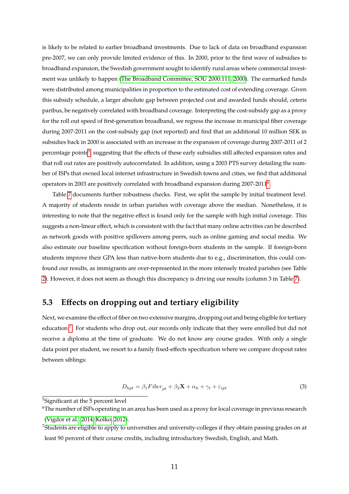is likely to be related to earlier broadband investments. Due to lack of data on broadband expansion pre-2007, we can only provide limited evidence of this. In 2000, prior to the first wave of subsidies to broadband expansion, the Swedish government sought to identify rural areas where commercial investment was unlikely to happen [\(The Broadband Committee, SOU 2000:111, 2000\)](#page-14-2). The earmarked funds were distributed among municipalities in proportion to the estimated cost of extending coverage. Given this subsidy schedule, a larger absolute gap between projected cost and awarded funds should, ceteris paribus, be negatively correlated with broadband coverage. Interpreting the cost-subsidy gap as a proxy for the roll out speed of first-generation broadband, we regress the increase in municipal fiber coverage during 2007-2011 on the cost-subsidy gap (not reported) and find that an additional 10 million SEK in subsidies back in 2000 is associated with an increase in the expansion of coverage during 2007-2011 of 2 percentage points<sup>[5](#page-0-0)</sup>, suggesting that the effects of these early subsidies still affected expansion rates and that roll out rates are positively autocorrelated. In addition, using a 2003 PTS survey detailing the number of ISPs that owned local internet infrastructure in Swedish towns and cities, we find that additional operators in 2003 are positively correlated with broadband expansion during 2007-2011 $^6$  $^6$ .

Table [7](#page-19-0) documents further robustness checks. First, we split the sample by initial treatment level. A majority of students reside in urban parishes with coverage above the median. Nonetheless, it is interesting to note that the negative effect is found only for the sample with high initial coverage. This suggests a non-linear effect, which is consistent with the fact that many online activities can be described as network goods with positive spillovers among peers, such as online gaming and social media. We also estimate our baseline specification without foreign-born students in the sample. If foreign-born students improve their GPA less than native-born students due to e.g., discrimination, this could confound our results, as immigrants are over-represented in the more intensely treated parishes (see Table [2\)](#page-16-0). However, it does not seem as though this discrepancy is driving our results (column 3 in Table [7\)](#page-19-0).

#### **5.3 Effects on dropping out and tertiary eligibility**

Next, we examine the effect of fiber on two extensive margins, dropping out and being eligible for tertiary education<sup>[7](#page-0-0)</sup>. For students who drop out, our records only indicate that they were enrolled but did not receive a diploma at the time of graduate. We do not know any course grades. With only a single data point per student, we resort to a family fixed-effects specification where we compare dropout rates between siblings:

$$
D_{hpt} = \beta_1 Fiber_{pt} + \beta_2 \mathbf{X} + \alpha_h + \gamma_t + \varepsilon_{ipt}
$$
\n(3)

<sup>5</sup>Significant at the 5 percent level

<sup>6</sup>The number of ISPs operating in an area has been used as a proxy for local coverage in previous research [\(Vigdor et al., 2014;](#page-14-0) [Kolko, 2012\)](#page-13-12).

<sup>&</sup>lt;sup>7</sup>Students are eligible to apply to universities and university-colleges if they obtain passing grades on at least 90 percent of their course credits, including introductory Swedish, English, and Math.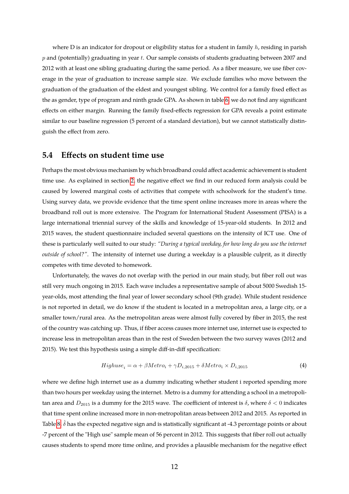where D is an indicator for dropout or eligibility status for a student in family  $h$ , residing in parish  $p$  and (potentially) graduating in year  $t$ . Our sample consists of students graduating between 2007 and 2012 with at least one sibling graduating during the same period. As a fiber measure, we use fiber coverage in the year of graduation to increase sample size. We exclude families who move between the graduation of the graduation of the eldest and youngest sibling. We control for a family fixed effect as the as gender, type of program and ninth grade GPA. As shown in table [6,](#page-19-1) we do not find any significant effects on either margin. Running the family fixed-effects regression for GPA reveals a point estimate similar to our baseline regression (5 percent of a standard deviation), but we cannot statistically distinguish the effect from zero.

#### **5.4 Effects on student time use**

Perhaps the most obvious mechanism by which broadband could affect academic achievement is student time use. As explained in section [2,](#page-2-0) the negative effect we find in our reduced form analysis could be caused by lowered marginal costs of activities that compete with schoolwork for the student's time. Using survey data, we provide evidence that the time spent online increases more in areas where the broadband roll out is more extensive. The Program for International Student Assessment (PISA) is a large international triennial survey of the skills and knowledge of 15-year-old students. In 2012 and 2015 waves, the student questionnaire included several questions on the intensity of ICT use. One of these is particularly well suited to our study: *"During a typical weekday, for how long do you use the internet outside of school?"*. The intensity of internet use during a weekday is a plausible culprit, as it directly competes with time devoted to homework.

Unfortunately, the waves do not overlap with the period in our main study, but fiber roll out was still very much ongoing in 2015. Each wave includes a representative sample of about 5000 Swedish 15 year-olds, most attending the final year of lower secondary school (9th grade). While student residence is not reported in detail, we do know if the student is located in a metropolitan area, a large city, or a smaller town/rural area. As the metropolitan areas were almost fully covered by fiber in 2015, the rest of the country was catching up. Thus, if fiber access causes more internet use, internet use is expected to increase less in metropolitan areas than in the rest of Sweden between the two survey waves (2012 and 2015). We test this hypothesis using a simple diff-in-diff specification:

$$
Highuse_i = \alpha + \beta Metro_i + \gamma D_{i,2015} + \delta Metro_i \times D_{i,2015}
$$
\n
$$
\tag{4}
$$

where we define high internet use as a dummy indicating whether student i reported spending more than two hours per weekday using the internet. Metro is a dummy for attending a school in a metropolitan area and  $D_{2015}$  is a dummy for the 2015 wave. The coefficient of interest is  $\delta$ , where  $\delta$  < 0 indicates that time spent online increased more in non-metropolitan areas between 2012 and 2015. As reported in Table [8,](#page-20-1)  $\delta$  has the expected negative sign and is statistically significant at -4.3 percentage points or about -7 percent of the "High use" sample mean of 56 percent in 2012. This suggests that fiber roll out actually causes students to spend more time online, and provides a plausible mechanism for the negative effect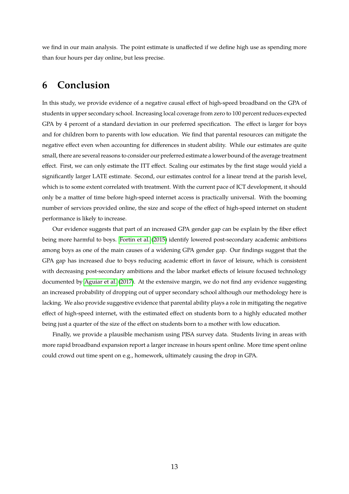we find in our main analysis. The point estimate is unaffected if we define high use as spending more than four hours per day online, but less precise.

## **6 Conclusion**

In this study, we provide evidence of a negative causal effect of high-speed broadband on the GPA of students in upper secondary school. Increasing local coverage from zero to 100 percent reduces expected GPA by 4 percent of a standard deviation in our preferred specification. The effect is larger for boys and for children born to parents with low education. We find that parental resources can mitigate the negative effect even when accounting for differences in student ability. While our estimates are quite small, there are several reasons to consider our preferred estimate a lower bound of the average treatment effect. First, we can only estimate the ITT effect. Scaling our estimates by the first stage would yield a significantly larger LATE estimate. Second, our estimates control for a linear trend at the parish level, which is to some extent correlated with treatment. With the current pace of ICT development, it should only be a matter of time before high-speed internet access is practically universal. With the booming number of services provided online, the size and scope of the effect of high-speed internet on student performance is likely to increase.

Our evidence suggests that part of an increased GPA gender gap can be explain by the fiber effect being more harmful to boys. [Fortin et al.](#page-13-13) [\(2015\)](#page-13-13) identify lowered post-secondary academic ambitions among boys as one of the main causes of a widening GPA gender gap. Our findings suggest that the GPA gap has increased due to boys reducing academic effort in favor of leisure, which is consistent with decreasing post-secondary ambitions and the labor market effects of leisure focused technology documented by [Aguiar et al.](#page-13-5) [\(2017\)](#page-13-5). At the extensive margin, we do not find any evidence suggesting an increased probability of dropping out of upper secondary school although our methodology here is lacking. We also provide suggestive evidence that parental ability plays a role in mitigating the negative effect of high-speed internet, with the estimated effect on students born to a highly educated mother being just a quarter of the size of the effect on students born to a mother with low education.

Finally, we provide a plausible mechanism using PISA survey data. Students living in areas with more rapid broadband expansion report a larger increase in hours spent online. More time spent online could crowd out time spent on e.g., homework, ultimately causing the drop in GPA.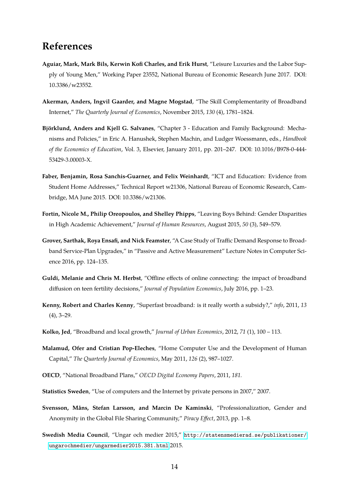## **References**

- <span id="page-13-5"></span>**Aguiar, Mark, Mark Bils, Kerwin Kofi Charles, and Erik Hurst**, "Leisure Luxuries and the Labor Supply of Young Men," Working Paper 23552, National Bureau of Economic Research June 2017. DOI: 10.3386/w23552.
- <span id="page-13-6"></span>**Akerman, Anders, Ingvil Gaarder, and Magne Mogstad**, "The Skill Complementarity of Broadband Internet," *The Quarterly Journal of Economics*, November 2015, *130* (4), 1781–1824.
- <span id="page-13-11"></span>**Björklund, Anders and Kjell G. Salvanes**, "Chapter 3 - Education and Family Background: Mechanisms and Policies," in Eric A. Hanushek, Stephen Machin, and Ludger Woessmann, eds., *Handbook of the Economics of Education*, Vol. 3, Elsevier, January 2011, pp. 201–247. DOI: 10.1016/B978-0-444- 53429-3.00003-X.
- <span id="page-13-2"></span>**Faber, Benjamin, Rosa Sanchis-Guarner, and Felix Weinhardt**, "ICT and Education: Evidence from Student Home Addresses," Technical Report w21306, National Bureau of Economic Research, Cambridge, MA June 2015. DOI: 10.3386/w21306.
- <span id="page-13-13"></span>**Fortin, Nicole M., Philip Oreopoulos, and Shelley Phipps**, "Leaving Boys Behind: Gender Disparities in High Academic Achievement," *Journal of Human Resources*, August 2015, *50* (3), 549–579.
- <span id="page-13-7"></span>**Grover, Sarthak, Roya Ensafi, and Nick Feamster**, "A Case Study of Traffic Demand Response to Broadband Service-Plan Upgrades," in "Passive and Active Measurement" Lecture Notes in Computer Science 2016, pp. 124–135.
- <span id="page-13-4"></span>**Guldi, Melanie and Chris M. Herbst**, "Offline effects of online connecting: the impact of broadband diffusion on teen fertility decisions," *Journal of Population Economics*, July 2016, pp. 1–23.
- <span id="page-13-1"></span>**Kenny, Robert and Charles Kenny**, "Superfast broadband: is it really worth a subsidy?," *info*, 2011, *13* (4), 3–29.
- <span id="page-13-12"></span>**Kolko, Jed**, "Broadband and local growth," *Journal of Urban Economics*, 2012, *71* (1), 100 – 113.
- <span id="page-13-3"></span>**Malamud, Ofer and Cristian Pop-Eleches**, "Home Computer Use and the Development of Human Capital," *The Quarterly Journal of Economics*, May 2011, *126* (2), 987–1027.
- <span id="page-13-0"></span>**OECD**, "National Broadband Plans," *OECD Digital Economy Papers*, 2011, *181.*
- <span id="page-13-8"></span>**Statistics Sweden**, "Use of computers and the Internet by private persons in 2007," 2007.
- <span id="page-13-10"></span>**Svensson, Måns, Stefan Larsson, and Marcin De Kaminski**, "Professionalization, Gender and Anonymity in the Global File Sharing Community," *Piracy Effect*, 2013, pp. 1–8.
- <span id="page-13-9"></span>**Swedish Media Council**, "Ungar och medier 2015," [http://statensmedierad.se/publikationer/](http://statensmedierad.se/publikationer/ungarochmedier/ungarmedier2015.381.html) [ungarochmedier/ungarmedier2015.381.html](http://statensmedierad.se/publikationer/ungarochmedier/ungarmedier2015.381.html) 2015.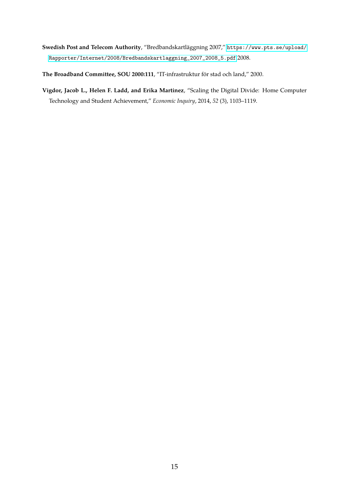- <span id="page-14-1"></span>**Swedish Post and Telecom Authority**, "Bredbandskartläggning 2007," [https://www.pts.se/upload/](https://www.pts.se/upload/Rapporter/Internet/2008/Bredbandskartlaggning_2007_2008_5.pdf) [Rapporter/Internet/2008/Bredbandskartlaggning\\_2007\\_2008\\_5.pdf](https://www.pts.se/upload/Rapporter/Internet/2008/Bredbandskartlaggning_2007_2008_5.pdf) 2008.
- <span id="page-14-2"></span>**The Broadband Committee, SOU 2000:111**, "IT-infrastruktur för stad och land," 2000.
- <span id="page-14-0"></span>**Vigdor, Jacob L., Helen F. Ladd, and Erika Martinez**, "Scaling the Digital Divide: Home Computer Technology and Student Achievement," *Economic Inquiry*, 2014, *52* (3), 1103–1119.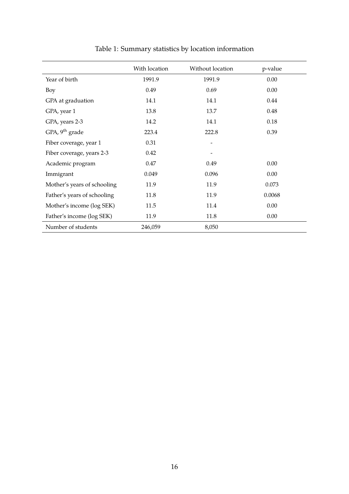<span id="page-15-0"></span>

|                             | With location | Without location         | p-value |
|-----------------------------|---------------|--------------------------|---------|
| Year of birth               | 1991.9        | 1991.9                   | 0.00    |
| Boy                         | 0.49          | 0.69                     | 0.00    |
| GPA at graduation           | 14.1          | 14.1                     | 0.44    |
| GPA, year 1                 | 13.8          | 13.7                     | 0.48    |
| GPA, years 2-3              | 14.2          | 14.1                     | 0.18    |
| GPA, 9 <sup>th</sup> grade  | 223.4         | 222.8                    | 0.39    |
| Fiber coverage, year 1      | 0.31          | $\overline{\phantom{a}}$ |         |
| Fiber coverage, years 2-3   | 0.42          |                          |         |
| Academic program            | 0.47          | 0.49                     | 0.00    |
| Immigrant                   | 0.049         | 0.096                    | 0.00    |
| Mother's years of schooling | 11.9          | 11.9                     | 0.073   |
| Father's years of schooling | 11.8          | 11.9                     | 0.0068  |
| Mother's income (log SEK)   | 11.5          | 11.4                     | 0.00    |
| Father's income (log SEK)   | 11.9          | 11.8                     | 0.00    |
| Number of students          | 246,059       | 8,050                    |         |

## Table 1: Summary statistics by location information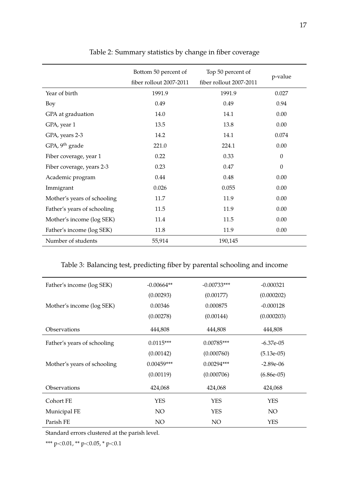<span id="page-16-0"></span>

|                             | Bottom 50 percent of    | Top 50 percent of       | p-value          |
|-----------------------------|-------------------------|-------------------------|------------------|
|                             | fiber rollout 2007-2011 | fiber rollout 2007-2011 |                  |
| Year of birth               | 1991.9                  | 1991.9                  | 0.027            |
| Boy                         | 0.49                    | 0.49                    | 0.94             |
| GPA at graduation           | 14.0                    | 14.1                    | 0.00             |
| GPA, year 1                 | 13.5                    | 13.8                    | 0.00             |
| GPA, years 2-3              | 14.2                    | 14.1                    | 0.074            |
| GPA, 9 <sup>th</sup> grade  | 221.0                   | 224.1                   | 0.00             |
| Fiber coverage, year 1      | 0.22                    | 0.33                    | $\boldsymbol{0}$ |
| Fiber coverage, years 2-3   | 0.23                    | 0.47                    | $\theta$         |
| Academic program            | 0.44                    | 0.48                    | 0.00             |
| Immigrant                   | 0.026                   | 0.055                   | 0.00             |
| Mother's years of schooling | 11.7                    | 11.9                    | 0.00             |
| Father's years of schooling | 11.5                    | 11.9                    | 0.00             |
| Mother's income (log SEK)   | 11.4                    | 11.5                    | 0.00             |
| Father's income (log SEK)   | 11.8                    | 11.9                    | 0.00             |
| Number of students          | 55,914                  | 190,145                 |                  |

### Table 2: Summary statistics by change in fiber coverage

#### <span id="page-16-1"></span>Table 3: Balancing test, predicting fiber by parental schooling and income

| Father's income (log SEK)   | $-0.00664**$ | $-0.00733***$ | $-0.000321$  |
|-----------------------------|--------------|---------------|--------------|
|                             | (0.00293)    | (0.00177)     | (0.000202)   |
| Mother's income (log SEK)   | 0.00346      | 0.000875      | $-0.000128$  |
|                             | (0.00278)    | (0.00144)     | (0.000203)   |
| Observations                | 444,808      | 444,808       | 444,808      |
| Father's years of schooling | $0.0115***$  | $0.00785***$  | $-6.37e-05$  |
|                             | (0.00142)    | (0.000760)    | $(5.13e-05)$ |
| Mother's years of schooling | $0.00459***$ | $0.00294***$  | $-2.89e-06$  |
|                             | (0.00119)    | (0.000706)    | $(6.86e-05)$ |
| Observations                | 424,068      | 424,068       | 424,068      |
| Cohort FE                   | <b>YES</b>   | <b>YES</b>    | <b>YES</b>   |
| Municipal FE                | NO.          | <b>YES</b>    | NO.          |
| Parish FE                   | NO           | NO            | YES          |

Standard errors clustered at the parish level.

\*\*\* p<0.01, \*\* p<0.05, \* p<0.1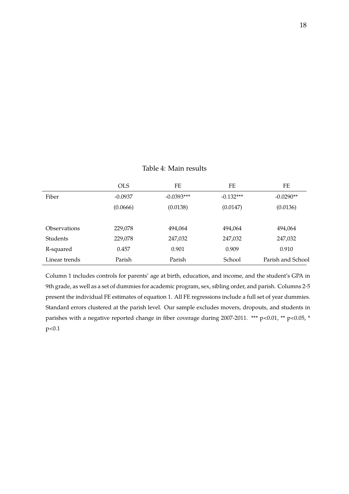<span id="page-17-0"></span>

|                     | <b>OLS</b> | FE           | FE          | FE                |
|---------------------|------------|--------------|-------------|-------------------|
| Fiber               | $-0.0937$  | $-0.0393***$ | $-0.132***$ | $-0.0290**$       |
|                     | (0.0666)   | (0.0138)     | (0.0147)    | (0.0136)          |
|                     |            |              |             |                   |
| <b>Observations</b> | 229,078    | 494,064      | 494,064     | 494,064           |
| <b>Students</b>     | 229,078    | 247,032      | 247,032     | 247,032           |
| R-squared           | 0.457      | 0.901        | 0.909       | 0.910             |
| Linear trends       | Parish     | Parish       | School      | Parish and School |

#### Table 4: Main results

Column 1 includes controls for parents' age at birth, education, and income, and the student's GPA in 9th grade, as well as a set of dummies for academic program, sex, sibling order, and parish. Columns 2-5 present the individual FE estimates of equation 1. All FE regressions include a full set of year dummies. Standard errors clustered at the parish level. Our sample excludes movers, dropouts, and students in parishes with a negative reported change in fiber coverage during 2007-2011. \*\*\* p<0.01, \*\* p<0.05, \* p<0.1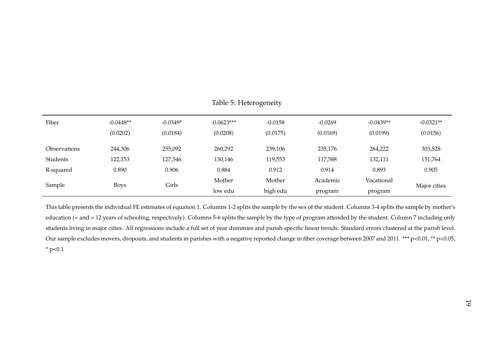| Fiber                 | $-0.0448**$<br>(0.0202) | $-0.0349*$<br>(0.0184) | $-0.0623***$<br>(0.0208) | $-0.0158$<br>(0.0175) | $-0.0269$<br>(0.0169) | $-0.0439**$<br>(0.0199) | $-0.0321**$<br>(0.0156) |
|-----------------------|-------------------------|------------------------|--------------------------|-----------------------|-----------------------|-------------------------|-------------------------|
| <b>Observations</b>   | 244,306                 | 255,092                | 260,292                  | 239,106               | 235,176               | 264,222                 | 303,528                 |
| Students              | 122,153                 | 127,546                | 130,146                  | 119,553               | 117,588               | 132,111                 | 151,764                 |
| R-squared             | 0.890                   | 0.906                  | 0.884                    | 0.912                 | 0.914                 | 0.893                   | 0.905                   |
|                       |                         |                        | Mother                   | Mother                | Academic              | Vocational              |                         |
| Sample<br><b>Boys</b> | Girls                   | low edu                | high edu                 | program               | program               | Major cities            |                         |

<span id="page-18-0"></span>Table 5: Heterogeneity

This table presents the individual FE estimates of equation 1. Columns 1-2 splits the sample by the sex of the student. Columns 3-4 splits the sample by mother'seducation (< and <sup>&</sup>gt; <sup>12</sup> years of schooling, respectively). Columns 5-6 splits the sample by the type of program attended by the student. Column <sup>7</sup> including onlystudents living in major cities. All regressions include <sup>a</sup> full set of year dummies and parish specific linear trends. Standard errors clustered at the parish level. Our sample excludes movers, dropouts, and students in parishes with a negative reported change in fiber coverage between 2007 and 2011. \*\*\* p<0.01, \*\* p<0.05, \* p<0.1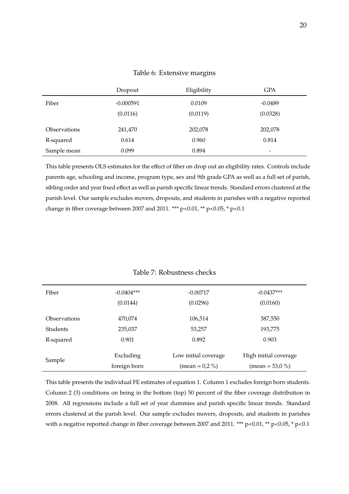#### Table 6: Extensive margins

<span id="page-19-1"></span>

|                            | Dropout     | Eligibility | GPA                      |
|----------------------------|-------------|-------------|--------------------------|
| Fiber                      | $-0.000591$ | 0.0109      | $-0.0489$                |
|                            | (0.0116)    | (0.0119)    | (0.0328)                 |
| <i><b>Observations</b></i> | 241,470     | 202,078     | 202,078                  |
| R-squared                  | 0.614       | 0.960       | 0.814                    |
| Sample mean                | 0.099       | 0.894       | $\overline{\phantom{0}}$ |

This table presents OLS estimates for the effect of fiber on drop out an eligibility rates. Controls include parents age, schooling and income, program type, sex and 9th grade GPA as well as a full set of parish, sibling order and year fixed effect as well as parish specific linear trends. Standard errors clustered at the parish level. Our sample excludes movers, dropouts, and students in parishes with a negative reported change in fiber coverage between 2007 and 2011. \*\*\*  $p<0.01$ , \*\*  $p<0.05$ , \*  $p<0.1$ 

#### Table 7: Robustness checks

<span id="page-19-0"></span>

| Fiber           | $-0.0404***$<br>(0.0144)  | $-0.00717$<br>(0.0296)                    | $-0.0437***$<br>(0.0160)                          |
|-----------------|---------------------------|-------------------------------------------|---------------------------------------------------|
| Observations    | 470,074                   | 106,514                                   | 387,550                                           |
| <b>Students</b> | 235,037                   | 53,257                                    | 193,775                                           |
| R-squared       | 0.901                     | 0.892                                     | 0.903                                             |
| Sample          | Excluding<br>foreign born | Low initial coverage<br>(mean = $0.2\%$ ) | High initial coverage<br>$(\text{mean} = 33.0\%)$ |

This table presents the individual FE estimates of equation 1. Column 1 excludes foreign born students. Column 2 (3) conditions on being in the bottom (top) 50 percent of the fiber coverage distribution in 2008. All regressions include a full set of year dummies and parish specific linear trends. Standard errors clustered at the parish level. Our sample excludes movers, dropouts, and students in parishes with a negative reported change in fiber coverage between 2007 and 2011. \*\*\* p<0.01, \*\* p<0.05, \* p<0.1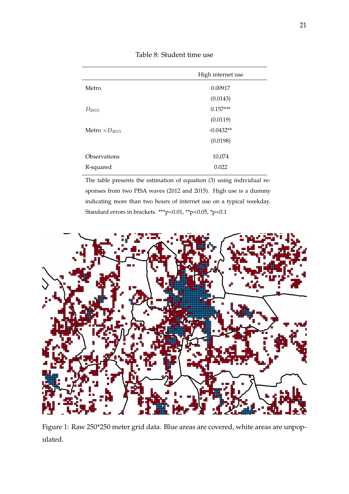Table 8: Student time use

<span id="page-20-1"></span>

|                         | High internet use |
|-------------------------|-------------------|
| Metro                   | 0.00917           |
|                         | (0.0143)          |
| $D_{2015}$              | $0.157***$        |
|                         | (0.0119)          |
| Metro $\times D_{2015}$ | $-0.0432**$       |
|                         | (0.0198)          |
| Observations            | 10,074            |
| R-squared               | 0.022             |

The table presents the estimation of equation (3) using individual responses from two PISA waves (2012 and 2015). High use is a dummy indicating more than two hours of internet use on a typical weekday. Standard errors in brackets. \*\*\*p<0.01, \*\*p<0.05, \*p<0.1

<span id="page-20-0"></span>

Figure 1: Raw 250\*250 meter grid data. Blue areas are covered, white areas are unpopulated.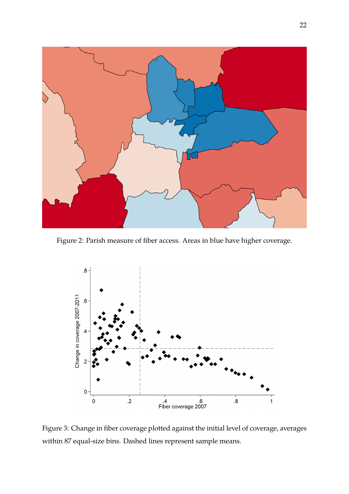<span id="page-21-0"></span>

Figure 2: Parish measure of fiber access. Areas in blue have higher coverage.

<span id="page-21-1"></span>

Figure 3: Change in fiber coverage plotted against the initial level of coverage, averages within 87 equal-size bins. Dashed lines represent sample means.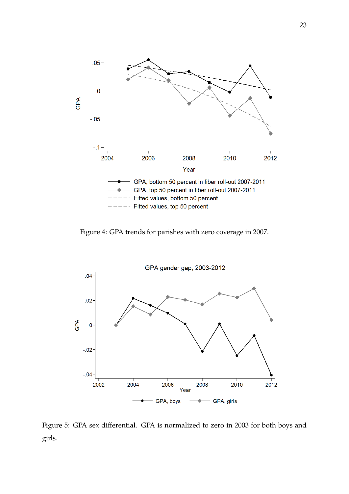<span id="page-22-0"></span>

Figure 4: GPA trends for parishes with zero coverage in 2007.

<span id="page-22-1"></span>

Figure 5: GPA sex differential. GPA is normalized to zero in 2003 for both boys and girls.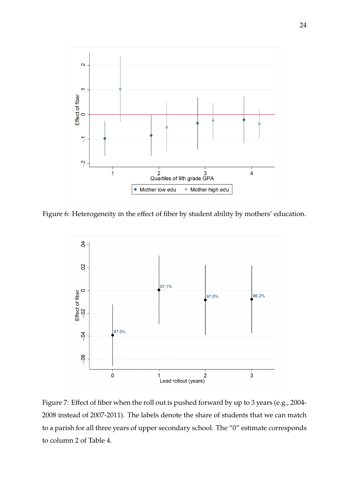

Figure 6: Heterogeneity in the effect of fiber by student ability by mothers' education.



Figure 7: Effect of fiber when the roll out is pushed forward by up to 3 years (e.g., 2004- 2008 instead of 2007-2011). The labels denote the share of students that we can match to a parish for all three years of upper secondary school. The "0" estimate corresponds to column 2 of Table 4.